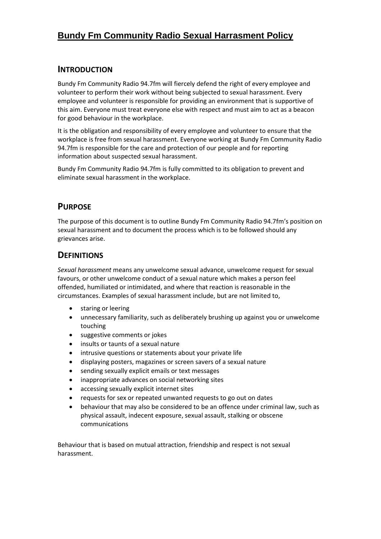# **Bundy Fm Community Radio Sexual Harrasment Policy**

#### **INTRODUCTION**

Bundy Fm Community Radio 94.7fm will fiercely defend the right of every employee and volunteer to perform their work without being subjected to sexual harassment. Every employee and volunteer is responsible for providing an environment that is supportive of this aim. Everyone must treat everyone else with respect and must aim to act as a beacon for good behaviour in the workplace.

It is the obligation and responsibility of every employee and volunteer to ensure that the workplace is free from sexual harassment. Everyone working at Bundy Fm Community Radio 94.7fm is responsible for the care and protection of our people and for reporting information about suspected sexual harassment.

Bundy Fm Community Radio 94.7fm is fully committed to its obligation to prevent and eliminate sexual harassment in the workplace.

## **PURPOSE**

The purpose of this document is to outline Bundy Fm Community Radio 94.7fm's position on sexual harassment and to document the process which is to be followed should any grievances arise.

#### **DEFINITIONS**

*Sexual harassment* means any unwelcome sexual advance, unwelcome request for sexual favours, or other unwelcome conduct of a sexual nature which makes a person feel offended, humiliated or intimidated, and where that reaction is reasonable in the circumstances. Examples of sexual harassment include, but are not limited to,

- staring or leering
- unnecessary familiarity, such as deliberately brushing up against you or unwelcome touching
- suggestive comments or jokes
- insults or taunts of a sexual nature
- intrusive questions or statements about your private life
- displaying posters, magazines or screen savers of a sexual nature
- sending sexually explicit emails or text messages
- inappropriate advances on social networking sites
- accessing sexually explicit internet sites
- requests for sex or repeated unwanted requests to go out on dates
- behaviour that may also be considered to be an offence under criminal law, such as physical assault, indecent exposure, sexual assault, stalking or obscene communications

Behaviour that is based on mutual attraction, friendship and respect is not sexual harassment.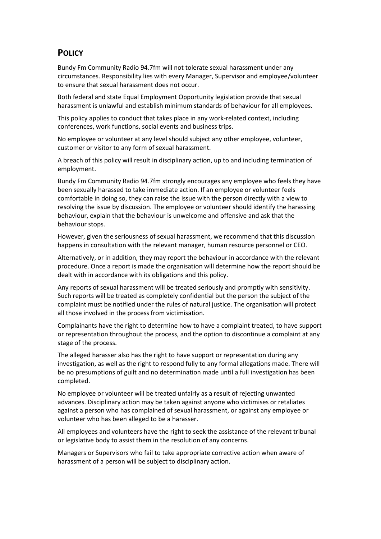## **POLICY**

Bundy Fm Community Radio 94.7fm will not tolerate sexual harassment under any circumstances. Responsibility lies with every Manager, Supervisor and employee/volunteer to ensure that sexual harassment does not occur.

Both federal and state Equal Employment Opportunity legislation provide that sexual harassment is unlawful and establish minimum standards of behaviour for all employees.

This policy applies to conduct that takes place in any work-related context, including conferences, work functions, social events and business trips.

No employee or volunteer at any level should subject any other employee, volunteer, customer or visitor to any form of sexual harassment.

A breach of this policy will result in disciplinary action, up to and including termination of employment.

Bundy Fm Community Radio 94.7fm strongly encourages any employee who feels they have been sexually harassed to take immediate action. If an employee or volunteer feels comfortable in doing so, they can raise the issue with the person directly with a view to resolving the issue by discussion. The employee or volunteer should identify the harassing behaviour, explain that the behaviour is unwelcome and offensive and ask that the behaviour stops.

However, given the seriousness of sexual harassment, we recommend that this discussion happens in consultation with the relevant manager, human resource personnel or CEO.

Alternatively, or in addition, they may report the behaviour in accordance with the relevant procedure. Once a report is made the organisation will determine how the report should be dealt with in accordance with its obligations and this policy.

Any reports of sexual harassment will be treated seriously and promptly with sensitivity. Such reports will be treated as completely confidential but the person the subject of the complaint must be notified under the rules of natural justice. The organisation will protect all those involved in the process from victimisation.

Complainants have the right to determine how to have a complaint treated, to have support or representation throughout the process, and the option to discontinue a complaint at any stage of the process.

The alleged harasser also has the right to have support or representation during any investigation, as well as the right to respond fully to any formal allegations made. There will be no presumptions of guilt and no determination made until a full investigation has been completed.

No employee or volunteer will be treated unfairly as a result of rejecting unwanted advances. Disciplinary action may be taken against anyone who victimises or retaliates against a person who has complained of sexual harassment, or against any employee or volunteer who has been alleged to be a harasser.

All employees and volunteers have the right to seek the assistance of the relevant tribunal or legislative body to assist them in the resolution of any concerns.

Managers or Supervisors who fail to take appropriate corrective action when aware of harassment of a person will be subject to disciplinary action.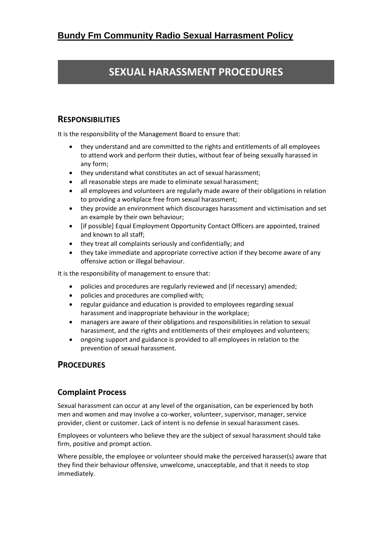# **SEXUAL HARASSMENT PROCEDURES**

## **RESPONSIBILITIES**

It is the responsibility of the Management Board to ensure that:

- they understand and are committed to the rights and entitlements of all employees to attend work and perform their duties, without fear of being sexually harassed in any form;
- they understand what constitutes an act of sexual harassment;
- all reasonable steps are made to eliminate sexual harassment;
- all employees and volunteers are regularly made aware of their obligations in relation to providing a workplace free from sexual harassment;
- they provide an environment which discourages harassment and victimisation and set an example by their own behaviour;
- [if possible] Equal Employment Opportunity Contact Officers are appointed, trained and known to all staff;
- they treat all complaints seriously and confidentially; and
- they take immediate and appropriate corrective action if they become aware of any offensive action or illegal behaviour.

It is the responsibility of management to ensure that:

- policies and procedures are regularly reviewed and (if necessary) amended;
- policies and procedures are complied with;
- regular guidance and education is provided to employees regarding sexual harassment and inappropriate behaviour in the workplace;
- managers are aware of their obligations and responsibilities in relation to sexual harassment, and the rights and entitlements of their employees and volunteers;
- ongoing support and guidance is provided to all employees in relation to the prevention of sexual harassment.

#### **PROCEDURES**

#### **Complaint Process**

Sexual harassment can occur at any level of the organisation, can be experienced by both men and women and may involve a co-worker, volunteer, supervisor, manager, service provider, client or customer. Lack of intent is no defense in sexual harassment cases.

Employees or volunteers who believe they are the subject of sexual harassment should take firm, positive and prompt action.

Where possible, the employee or volunteer should make the perceived harasser(s) aware that they find their behaviour offensive, unwelcome, unacceptable, and that it needs to stop immediately.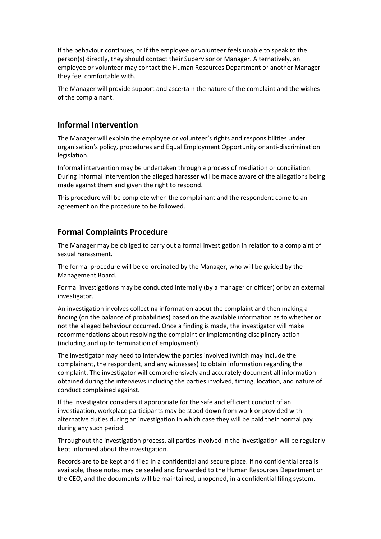If the behaviour continues, or if the employee or volunteer feels unable to speak to the person(s) directly, they should contact their Supervisor or Manager. Alternatively, an employee or volunteer may contact the Human Resources Department or another Manager they feel comfortable with.

The Manager will provide support and ascertain the nature of the complaint and the wishes of the complainant.

#### **Informal Intervention**

The Manager will explain the employee or volunteer's rights and responsibilities under organisation's policy, procedures and Equal Employment Opportunity or anti-discrimination legislation.

Informal intervention may be undertaken through a process of mediation or conciliation. During informal intervention the alleged harasser will be made aware of the allegations being made against them and given the right to respond.

This procedure will be complete when the complainant and the respondent come to an agreement on the procedure to be followed.

#### **Formal Complaints Procedure**

The Manager may be obliged to carry out a formal investigation in relation to a complaint of sexual harassment.

The formal procedure will be co-ordinated by the Manager, who will be guided by the Management Board.

Formal investigations may be conducted internally (by a manager or officer) or by an external investigator.

An investigation involves collecting information about the complaint and then making a finding (on the balance of probabilities) based on the available information as to whether or not the alleged behaviour occurred. Once a finding is made, the investigator will make recommendations about resolving the complaint or implementing disciplinary action (including and up to termination of employment).

The investigator may need to interview the parties involved (which may include the complainant, the respondent, and any witnesses) to obtain information regarding the complaint. The investigator will comprehensively and accurately document all information obtained during the interviews including the parties involved, timing, location, and nature of conduct complained against.

If the investigator considers it appropriate for the safe and efficient conduct of an investigation, workplace participants may be stood down from work or provided with alternative duties during an investigation in which case they will be paid their normal pay during any such period.

Throughout the investigation process, all parties involved in the investigation will be regularly kept informed about the investigation.

Records are to be kept and filed in a confidential and secure place. If no confidential area is available, these notes may be sealed and forwarded to the Human Resources Department or the CEO, and the documents will be maintained, unopened, in a confidential filing system.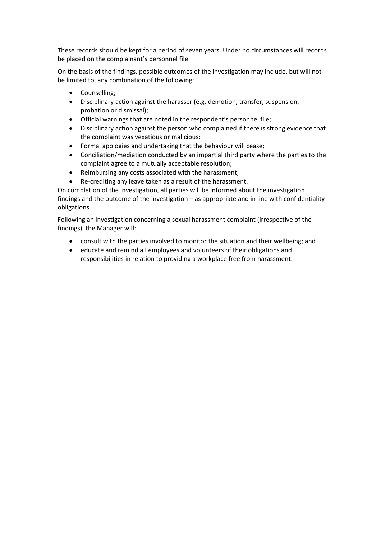These records should be kept for a period of seven years. Under no circumstances will records be placed on the complainant's personnel file.

On the basis of the findings, possible outcomes of the investigation may include, but will not be limited to, any combination of the following:

- Counselling;
- Disciplinary action against the harasser (e.g. demotion, transfer, suspension, probation or dismissal);
- Official warnings that are noted in the respondent's personnel file;
- Disciplinary action against the person who complained if there is strong evidence that the complaint was vexatious or malicious;
- Formal apologies and undertaking that the behaviour will cease;
- Conciliation/mediation conducted by an impartial third party where the parties to the complaint agree to a mutually acceptable resolution;
- Reimbursing any costs associated with the harassment;
- Re-crediting any leave taken as a result of the harassment.

On completion of the investigation, all parties will be informed about the investigation findings and the outcome of the investigation – as appropriate and in line with confidentiality obligations.

Following an investigation concerning a sexual harassment complaint (irrespective of the findings), the Manager will:

- consult with the parties involved to monitor the situation and their wellbeing; and
- educate and remind all employees and volunteers of their obligations and responsibilities in relation to providing a workplace free from harassment.